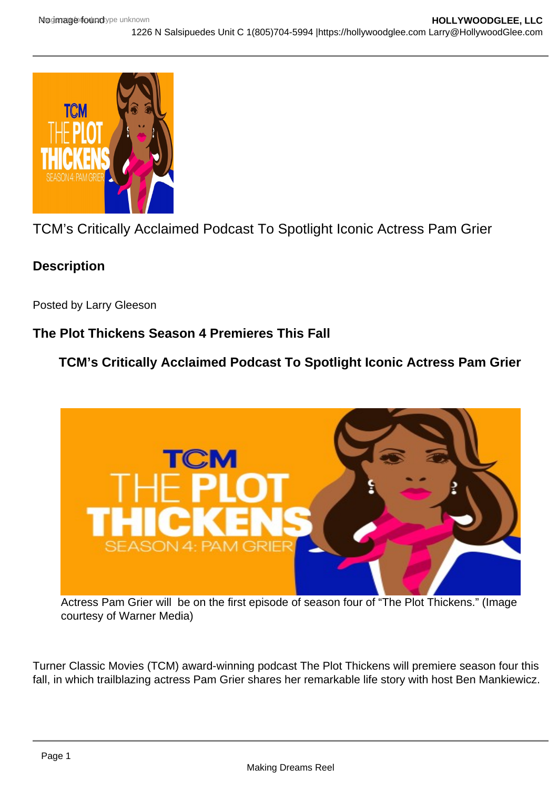TCM's Critically Acclaimed Podcast To Spotlight Iconic Actress Pam Grier

**Description** 

Posted by Larry Gleeson

The Plot Thickens Season 4 Premieres This Fall

TCM's Critically Acclaimed Podcast To Spotlight Iconic Actress Pam Grier

Actress Pam Grier will be on the first episode of season four of "The Plot Thickens." (Image courtesy of Warner Media)

Turner Classic Movies (TCM) award-winning podcast The Plot Thickens will premiere season four this fall, in which trailblazing actress Pam Grier shares her remarkable life story with host Ben Mankiewicz.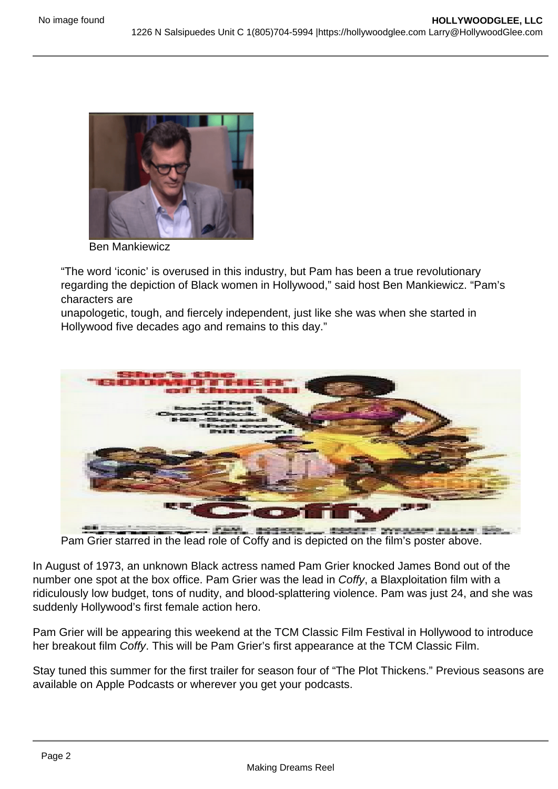Ben Mankiewicz

"The word 'iconic' is overused in this industry, but Pam has been a true revolutionary regarding the depiction of Black women in Hollywood," said host Ben Mankiewicz. "Pam's characters are

unapologetic, tough, and fiercely independent, just like she was when she started in Hollywood five decades ago and remains to this day."

Pam Grier starred in the lead role of Coffy and is depicted on the film's poster above.

In August of 1973, an unknown Black actress named Pam Grier knocked James Bond out of the number one spot at the box office. Pam Grier was the lead in Coffy, a Blaxploitation film with a ridiculously low budget, tons of nudity, and blood-splattering violence. Pam was just 24, and she was suddenly Hollywood's first female action hero.

Pam Grier will be appearing this weekend at the TCM Classic Film Festival in Hollywood to introduce her breakout film Coffy. This will be Pam Grier's first appearance at the TCM Classic Film.

Stay tuned this summer for the first trailer for season four of "The Plot Thickens." Previous seasons are available on Apple Podcasts or wherever you get your podcasts.